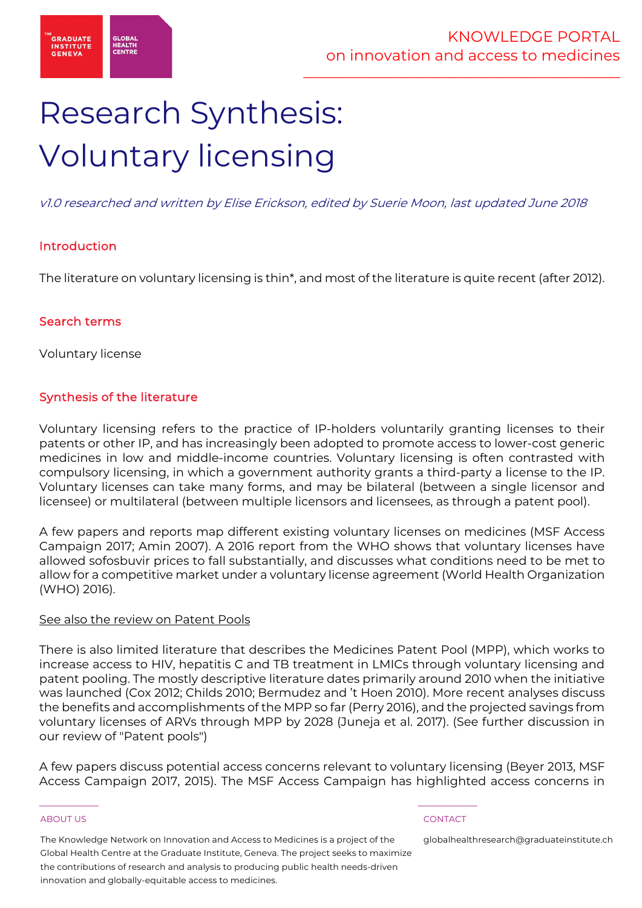

# Research Synthesis: Voluntary licensing

v1.0 researched and written by Elise Erickson, edited by Suerie Moon, last updated June 2018

# Introduction

The literature on voluntary licensing is thin\*, and most of the literature is quite recent (after 2012).

### Search terms

Voluntary license

# Synthesis of the literature

Voluntary licensing refers to the practice of IP-holders voluntarily granting licenses to their patents or other IP, and has increasingly been adopted to promote access to lower-cost generic medicines in low and middle-income countries. Voluntary licensing is often contrasted with compulsory licensing, in which a government authority grants a third-party a license to the IP. Voluntary licenses can take many forms, and may be bilateral (between a single licensor and licensee) or multilateral (between multiple licensors and licensees, as through a patent pool).

A few papers and reports map different existing voluntary licenses on medicines (MSF Access Campaign 2017; Amin 2007). A 2016 report from the WHO shows that voluntary licenses have allowed sofosbuvir prices to fall substantially, and discusses what conditions need to be met to allow for a competitive market under a voluntary license agreement (World Health Organization (WHO) 2016).

### See also the review on Patent Pools

There is also limited literature that describes the Medicines Patent Pool (MPP), which works to increase access to HIV, hepatitis C and TB treatment in LMICs through voluntary licensing and patent pooling. The mostly descriptive literature dates primarily around 2010 when the initiative was launched (Cox 2012; Childs 2010; Bermudez and 't Hoen 2010). More recent analyses discuss the benefits and accomplishments of the MPP so far (Perry 2016), and the projected savings from voluntary licenses of ARVs through MPP by 2028 (Juneja et al. 2017). (See further discussion in our review of "Patent pools")

A few papers discuss potential access concerns relevant to voluntary licensing (Beyer 2013, MSF Access Campaign 2017, 2015). The MSF Access Campaign has highlighted access concerns in

#### ABOUT US CONTACT AND RESERVE THE RELEASE OF THE RELEASE OF THE RELEASE OF THE RELEASE OF THE RELEASE OF THE RELEASE OF THE RELEASE OF THE RELEASE OF THE RELEASE OF THE RELEASE OF THE RELEASE OF THE RELEASE OF THE RELEASE O

The Knowledge Network on Innovation and Access to Medicines is a project of the Global Health Centre at the Graduate Institute, Geneva. The project seeks to maximize the contributions of research and analysis to producing public health needs-driven innovation and globally-equitable access to medicines.

 $\frac{1}{2}$  , and the set of the set of the set of the set of the set of the set of the set of the set of the set of the set of the set of the set of the set of the set of the set of the set of the set of the set of the set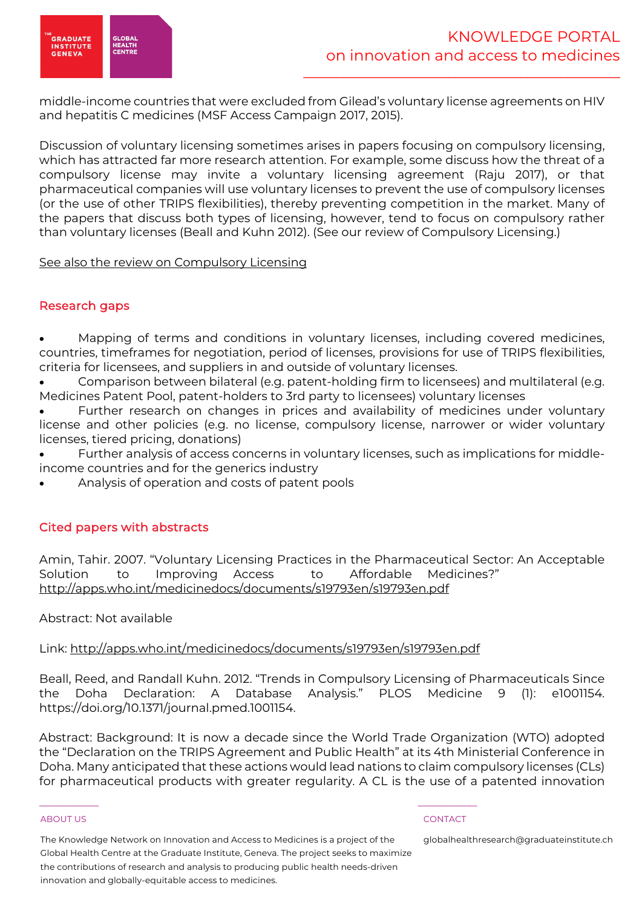

middle-income countries that were excluded from Gilead's voluntary license agreements on HIV and hepatitis C medicines (MSF Access Campaign 2017, 2015).

Discussion of voluntary licensing sometimes arises in papers focusing on compulsory licensing, which has attracted far more research attention. For example, some discuss how the threat of a compulsory license may invite a voluntary licensing agreement (Raju 2017), or that pharmaceutical companies will use voluntary licenses to prevent the use of compulsory licenses (or the use of other TRIPS flexibilities), thereby preventing competition in the market. Many of the papers that discuss both types of licensing, however, tend to focus on compulsory rather than voluntary licenses (Beall and Kuhn 2012). (See our review of Compulsory Licensing.)

See also the review on Compulsory Licensing

# Research gaps

• Mapping of terms and conditions in voluntary licenses, including covered medicines, countries, timeframes for negotiation, period of licenses, provisions for use of TRIPS flexibilities, criteria for licensees, and suppliers in and outside of voluntary licenses.

• Comparison between bilateral (e.g. patent-holding firm to licensees) and multilateral (e.g. Medicines Patent Pool, patent-holders to 3rd party to licensees) voluntary licenses

Further research on changes in prices and availability of medicines under voluntary license and other policies (e.g. no license, compulsory license, narrower or wider voluntary licenses, tiered pricing, donations)

• Further analysis of access concerns in voluntary licenses, such as implications for middleincome countries and for the generics industry

• Analysis of operation and costs of patent pools

# Cited papers with abstracts

Amin, Tahir. 2007. "Voluntary Licensing Practices in the Pharmaceutical Sector: An Acceptable Solution to Improving Access to Affordable Medicines?" http://apps.who.int/medicinedocs/documents/s19793en/s19793en.pdf

Abstract: Not available

Link: http://apps.who.int/medicinedocs/documents/s19793en/s19793en.pdf

 $\frac{1}{2}$  , and the set of the set of the set of the set of the set of the set of the set of the set of the set of the set of the set of the set of the set of the set of the set of the set of the set of the set of the set

Beall, Reed, and Randall Kuhn. 2012. "Trends in Compulsory Licensing of Pharmaceuticals Since the Doha Declaration: A Database Analysis." PLOS Medicine 9 (1): e1001154. https://doi.org/10.1371/journal.pmed.1001154.

Abstract: Background: It is now a decade since the World Trade Organization (WTO) adopted the "Declaration on the TRIPS Agreement and Public Health" at its 4th Ministerial Conference in Doha. Many anticipated that these actions would lead nations to claim compulsory licenses (CLs) for pharmaceutical products with greater regularity. A CL is the use of a patented innovation

#### ABOUT US CONTACT AND RESERVE THE RELEASE OF THE RELEASE OF THE RELEASE OF THE RELEASE OF THE RELEASE OF THE RELEASE OF THE RELEASE OF THE RELEASE OF THE RELEASE OF THE RELEASE OF THE RELEASE OF THE RELEASE OF THE RELEASE O

The Knowledge Network on Innovation and Access to Medicines is a project of the Global Health Centre at the Graduate Institute, Geneva. The project seeks to maximize the contributions of research and analysis to producing public health needs-driven innovation and globally-equitable access to medicines.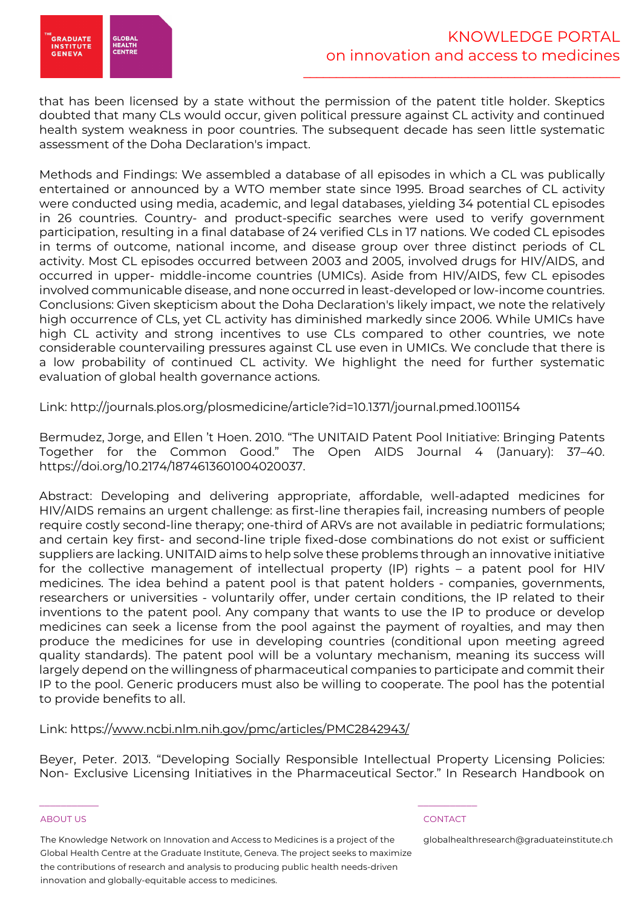

that has been licensed by a state without the permission of the patent title holder. Skeptics doubted that many CLs would occur, given political pressure against CL activity and continued health system weakness in poor countries. The subsequent decade has seen little systematic assessment of the Doha Declaration's impact.

Methods and Findings: We assembled a database of all episodes in which a CL was publically entertained or announced by a WTO member state since 1995. Broad searches of CL activity were conducted using media, academic, and legal databases, yielding 34 potential CL episodes in 26 countries. Country- and product-specific searches were used to verify government participation, resulting in a final database of 24 verified CLs in 17 nations. We coded CL episodes in terms of outcome, national income, and disease group over three distinct periods of CL activity. Most CL episodes occurred between 2003 and 2005, involved drugs for HIV/AIDS, and occurred in upper- middle-income countries (UMICs). Aside from HIV/AIDS, few CL episodes involved communicable disease, and none occurred in least-developed or low-income countries. Conclusions: Given skepticism about the Doha Declaration's likely impact, we note the relatively high occurrence of CLs, yet CL activity has diminished markedly since 2006. While UMICs have high CL activity and strong incentives to use CLs compared to other countries, we note considerable countervailing pressures against CL use even in UMICs. We conclude that there is a low probability of continued CL activity. We highlight the need for further systematic evaluation of global health governance actions.

Link: http://journals.plos.org/plosmedicine/article?id=10.1371/journal.pmed.1001154

Bermudez, Jorge, and Ellen 't Hoen. 2010. "The UNITAID Patent Pool Initiative: Bringing Patents Together for the Common Good." The Open AIDS Journal 4 (January): 37–40. https://doi.org/10.2174/1874613601004020037.

Abstract: Developing and delivering appropriate, affordable, well-adapted medicines for HIV/AIDS remains an urgent challenge: as first-line therapies fail, increasing numbers of people require costly second-line therapy; one-third of ARVs are not available in pediatric formulations; and certain key first- and second-line triple fixed-dose combinations do not exist or sufficient suppliers are lacking. UNITAID aims to help solve these problems through an innovative initiative for the collective management of intellectual property (IP) rights – a patent pool for HIV medicines. The idea behind a patent pool is that patent holders - companies, governments, researchers or universities - voluntarily offer, under certain conditions, the IP related to their inventions to the patent pool. Any company that wants to use the IP to produce or develop medicines can seek a license from the pool against the payment of royalties, and may then produce the medicines for use in developing countries (conditional upon meeting agreed quality standards). The patent pool will be a voluntary mechanism, meaning its success will largely depend on the willingness of pharmaceutical companies to participate and commit their IP to the pool. Generic producers must also be willing to cooperate. The pool has the potential to provide benefits to all.

### Link: https://www.ncbi.nlm.nih.gov/pmc/articles/PMC2842943/

Beyer, Peter. 2013. "Developing Socially Responsible Intellectual Property Licensing Policies: Non- Exclusive Licensing Initiatives in the Pharmaceutical Sector." In Research Handbook on

#### ABOUT US CONTACT AND RESERVE THE RELEASE OF THE RELEASE OF THE RELEASE OF THE RELEASE OF THE RELEASE OF THE RELEASE OF THE RELEASE OF THE RELEASE OF THE RELEASE OF THE RELEASE OF THE RELEASE OF THE RELEASE OF THE RELEASE O

The Knowledge Network on Innovation and Access to Medicines is a project of the Global Health Centre at the Graduate Institute, Geneva. The project seeks to maximize the contributions of research and analysis to producing public health needs-driven innovation and globally-equitable access to medicines.

 $\frac{1}{2}$  , and the set of the set of the set of the set of the set of the set of the set of the set of the set of the set of the set of the set of the set of the set of the set of the set of the set of the set of the set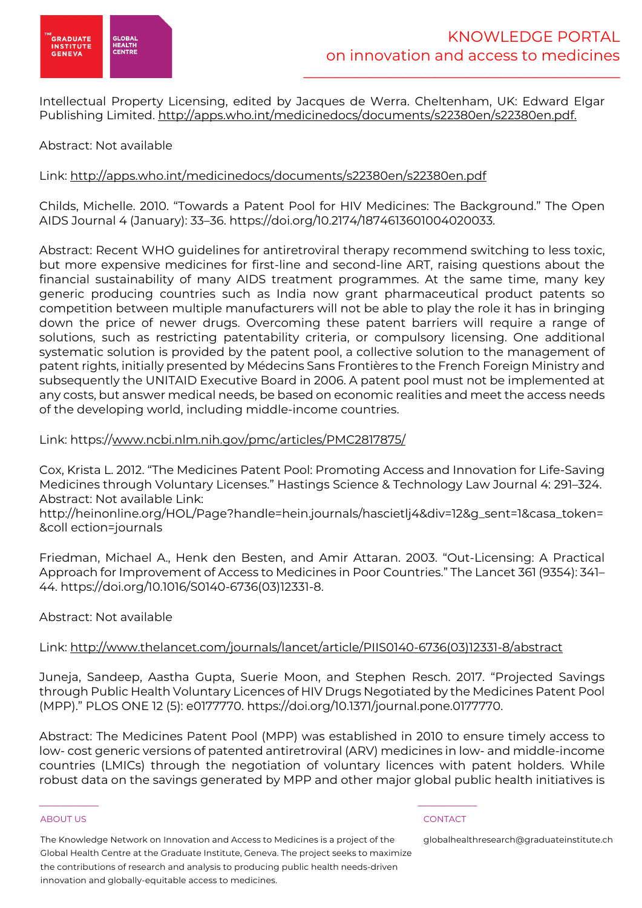

Intellectual Property Licensing, edited by Jacques de Werra. Cheltenham, UK: Edward Elgar Publishing Limited. http://apps.who.int/medicinedocs/documents/s22380en/s22380en.pdf.

# Abstract: Not available

### Link: http://apps.who.int/medicinedocs/documents/s22380en/s22380en.pdf

Childs, Michelle. 2010. "Towards a Patent Pool for HIV Medicines: The Background." The Open AIDS Journal 4 (January): 33–36. https://doi.org/10.2174/1874613601004020033.

Abstract: Recent WHO guidelines for antiretroviral therapy recommend switching to less toxic, but more expensive medicines for first-line and second-line ART, raising questions about the financial sustainability of many AIDS treatment programmes. At the same time, many key generic producing countries such as India now grant pharmaceutical product patents so competition between multiple manufacturers will not be able to play the role it has in bringing down the price of newer drugs. Overcoming these patent barriers will require a range of solutions, such as restricting patentability criteria, or compulsory licensing. One additional systematic solution is provided by the patent pool, a collective solution to the management of patent rights, initially presented by Médecins Sans Frontières to the French Foreign Ministry and subsequently the UNITAID Executive Board in 2006. A patent pool must not be implemented at any costs, but answer medical needs, be based on economic realities and meet the access needs of the developing world, including middle-income countries.

### Link: https://www.ncbi.nlm.nih.gov/pmc/articles/PMC2817875/

Cox, Krista L. 2012. "The Medicines Patent Pool: Promoting Access and Innovation for Life-Saving Medicines through Voluntary Licenses." Hastings Science & Technology Law Journal 4: 291–324. Abstract: Not available Link:

http://heinonline.org/HOL/Page?handle=hein.journals/hascietlj4&div=12&g\_sent=1&casa\_token= &coll ection=journals

Friedman, Michael A., Henk den Besten, and Amir Attaran. 2003. "Out-Licensing: A Practical Approach for Improvement of Access to Medicines in Poor Countries." The Lancet 361 (9354): 341– 44. https://doi.org/10.1016/S0140-6736(03)12331-8.

### Abstract: Not available

### Link: http://www.thelancet.com/journals/lancet/article/PIIS0140-6736(03)12331-8/abstract

Juneja, Sandeep, Aastha Gupta, Suerie Moon, and Stephen Resch. 2017. "Projected Savings through Public Health Voluntary Licences of HIV Drugs Negotiated by the Medicines Patent Pool (MPP)." PLOS ONE 12 (5): e0177770. https://doi.org/10.1371/journal.pone.0177770.

Abstract: The Medicines Patent Pool (MPP) was established in 2010 to ensure timely access to low- cost generic versions of patented antiretroviral (ARV) medicines in low- and middle-income countries (LMICs) through the negotiation of voluntary licences with patent holders. While robust data on the savings generated by MPP and other major global public health initiatives is

#### ABOUT US CONTACT AND RESERVE THE RELEASE OF THE RELEASE OF THE RELEASE OF THE RELEASE OF THE RELEASE OF THE RELEASE OF THE RELEASE OF THE RELEASE OF THE RELEASE OF THE RELEASE OF THE RELEASE OF THE RELEASE OF THE RELEASE O

The Knowledge Network on Innovation and Access to Medicines is a project of the Global Health Centre at the Graduate Institute, Geneva. The project seeks to maximize the contributions of research and analysis to producing public health needs-driven innovation and globally-equitable access to medicines.

 $\frac{1}{2}$  , and the set of the set of the set of the set of the set of the set of the set of the set of the set of the set of the set of the set of the set of the set of the set of the set of the set of the set of the set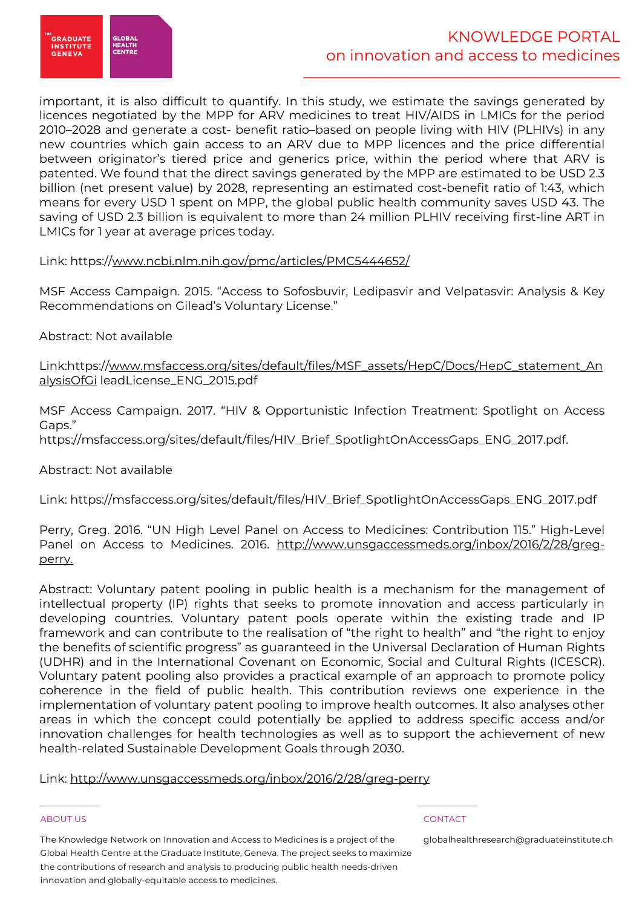

important, it is also difficult to quantify. In this study, we estimate the savings generated by licences negotiated by the MPP for ARV medicines to treat HIV/AIDS in LMICs for the period 2010–2028 and generate a cost- benefit ratio–based on people living with HIV (PLHIVs) in any new countries which gain access to an ARV due to MPP licences and the price differential between originator's tiered price and generics price, within the period where that ARV is patented. We found that the direct savings generated by the MPP are estimated to be USD 2.3 billion (net present value) by 2028, representing an estimated cost-benefit ratio of 1:43, which means for every USD 1 spent on MPP, the global public health community saves USD 43. The saving of USD 2.3 billion is equivalent to more than 24 million PLHIV receiving first-line ART in LMICs for 1 year at average prices today.

# Link: https://www.ncbi.nlm.nih.gov/pmc/articles/PMC5444652/

MSF Access Campaign. 2015. "Access to Sofosbuvir, Ledipasvir and Velpatasvir: Analysis & Key Recommendations on Gilead's Voluntary License."

Abstract: Not available

Link:https://www.msfaccess.org/sites/default/files/MSF\_assets/HepC/Docs/HepC\_statement\_An alysisOfGi leadLicense\_ENG\_2015.pdf

MSF Access Campaign. 2017. "HIV & Opportunistic Infection Treatment: Spotlight on Access Gaps."

https://msfaccess.org/sites/default/files/HIV\_Brief\_SpotlightOnAccessGaps\_ENG\_2017.pdf.

Abstract: Not available

Link: https://msfaccess.org/sites/default/files/HIV\_Brief\_SpotlightOnAccessGaps\_ENG\_2017.pdf

Perry, Greg. 2016. "UN High Level Panel on Access to Medicines: Contribution 115." High-Level Panel on Access to Medicines. 2016. http://www.unsgaccessmeds.org/inbox/2016/2/28/gregperry.

Abstract: Voluntary patent pooling in public health is a mechanism for the management of intellectual property (IP) rights that seeks to promote innovation and access particularly in developing countries. Voluntary patent pools operate within the existing trade and IP framework and can contribute to the realisation of "the right to health" and "the right to enjoy the benefits of scientific progress" as guaranteed in the Universal Declaration of Human Rights (UDHR) and in the International Covenant on Economic, Social and Cultural Rights (ICESCR). Voluntary patent pooling also provides a practical example of an approach to promote policy coherence in the field of public health. This contribution reviews one experience in the implementation of voluntary patent pooling to improve health outcomes. It also analyses other areas in which the concept could potentially be applied to address specific access and/or innovation challenges for health technologies as well as to support the achievement of new health-related Sustainable Development Goals through 2030.

Link: http://www.unsgaccessmeds.org/inbox/2016/2/28/greg-perry

 $\frac{1}{2}$  , and the set of the set of the set of the set of the set of the set of the set of the set of the set of the set of the set of the set of the set of the set of the set of the set of the set of the set of the set

#### ABOUT US CONTACT AND RESERVE THE RELEASE OF THE RELEASE OF THE RELEASE OF THE RELEASE OF THE RELEASE OF THE RELEASE OF THE RELEASE OF THE RELEASE OF THE RELEASE OF THE RELEASE OF THE RELEASE OF THE RELEASE OF THE RELEASE O

The Knowledge Network on Innovation and Access to Medicines is a project of the Global Health Centre at the Graduate Institute, Geneva. The project seeks to maximize the contributions of research and analysis to producing public health needs-driven innovation and globally-equitable access to medicines.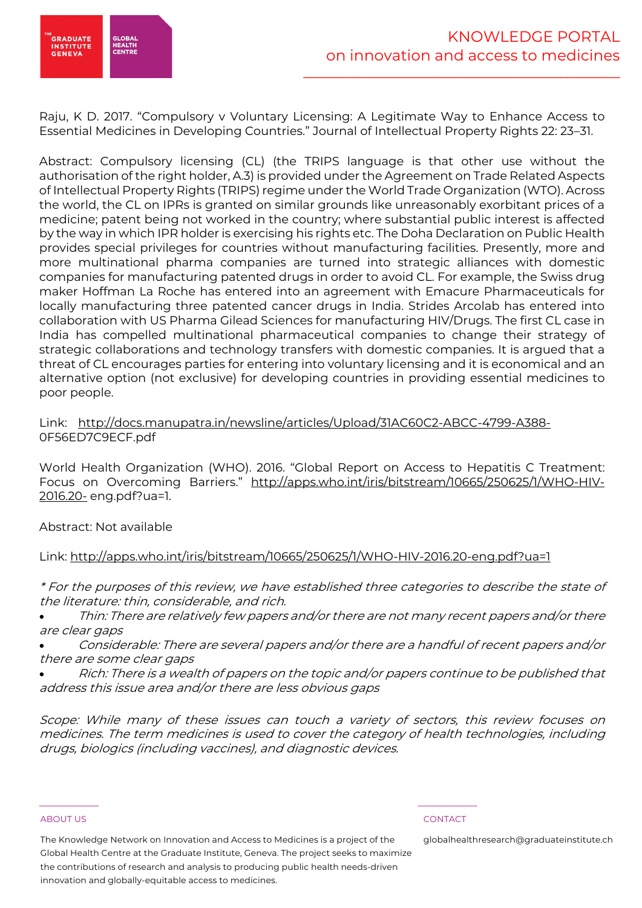

Raju, K D. 2017. "Compulsory v Voluntary Licensing: A Legitimate Way to Enhance Access to Essential Medicines in Developing Countries." Journal of Intellectual Property Rights 22: 23–31.

Abstract: Compulsory licensing (CL) (the TRIPS language is that other use without the authorisation of the right holder, A.3) is provided under the Agreement on Trade Related Aspects of Intellectual Property Rights (TRIPS) regime under the World Trade Organization (WTO). Across the world, the CL on IPRs is granted on similar grounds like unreasonably exorbitant prices of a medicine; patent being not worked in the country; where substantial public interest is affected by the way in which IPR holder is exercising his rights etc. The Doha Declaration on Public Health provides special privileges for countries without manufacturing facilities. Presently, more and more multinational pharma companies are turned into strategic alliances with domestic companies for manufacturing patented drugs in order to avoid CL. For example, the Swiss drug maker Hoffman La Roche has entered into an agreement with Emacure Pharmaceuticals for locally manufacturing three patented cancer drugs in India. Strides Arcolab has entered into collaboration with US Pharma Gilead Sciences for manufacturing HIV/Drugs. The first CL case in India has compelled multinational pharmaceutical companies to change their strategy of strategic collaborations and technology transfers with domestic companies. It is argued that a threat of CL encourages parties for entering into voluntary licensing and it is economical and an alternative option (not exclusive) for developing countries in providing essential medicines to poor people.

### Link: http://docs.manupatra.in/newsline/articles/Upload/31AC60C2-ABCC-4799-A388- 0F56ED7C9ECF.pdf

World Health Organization (WHO). 2016. "Global Report on Access to Hepatitis C Treatment: Focus on Overcoming Barriers." http://apps.who.int/iris/bitstream/10665/250625/1/WHO-HIV-2016.20- eng.pdf?ua=1.

Abstract: Not available

\* For the purposes of this review, we have established three categories to describe the state of the literature: thin, considerable, and rich.

• Thin: There are relatively few papers and/or there are not many recent papers and/or there are clear gaps

• Considerable: There are several papers and/or there are a handful of recent papers and/or there are some clear gaps

• Rich: There is a wealth of papers on the topic and/or papers continue to be published that address this issue area and/or there are less obvious gaps

Scope: While many of these issues can touch a variety of sectors, this review focuses on medicines. The term medicines is used to cover the category of health technologies, including drugs, biologics (including vaccines), and diagnostic devices.

#### ABOUT US CONTACT AND RESERVE THE RELEASE OF THE RELEASE OF THE RELEASE OF THE RELEASE OF THE RELEASE OF THE RELEASE OF THE RELEASE OF THE RELEASE OF THE RELEASE OF THE RELEASE OF THE RELEASE OF THE RELEASE OF THE RELEASE O

The Knowledge Network on Innovation and Access to Medicines is a project of the

globalhealthresearch@graduateinstitute.ch

 $\frac{1}{2}$  , and the set of the set of the set of the set of the set of the set of the set of the set of the set of the set of the set of the set of the set of the set of the set of the set of the set of the set of the set

Link: http://apps.who.int/iris/bitstream/10665/250625/1/WHO-HIV-2016.20-eng.pdf?ua=1

Global Health Centre at the Graduate Institute, Geneva. The project seeks to maximize the contributions of research and analysis to producing public health needs-driven innovation and globally-equitable access to medicines.